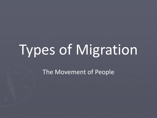# Types of Migration

The Movement of People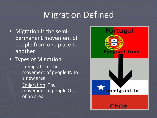## Migration Defined

- Migration is the semipermanent movement of people from one place to another
- Types of Migration:
	- Immigration: The movement of people IN to a new area
	- Emigration: The movement of people OUT of an area

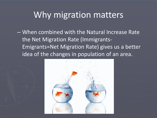## Why migration matters

– When combined with the Natural Increase Rate the Net Migration Rate (Immigrants-Emigrants=Net Migration Rate) gives us a better idea of the changes in population of an area.

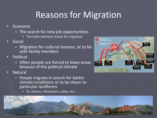# Reasons for Migration

- Economic
	- The search for new job opportunities
		- The most common reason for migration
- **Social** 
	- Migration for cultural reasons, or to be with family members
- **Political** 
	- Often people are forced to leave areas because of the political climate
- Natural
	- People migrate in search for better climate conditions or to be closer to particular landforms
		- Ex. Oceans, Mountains, Lakes, etc…

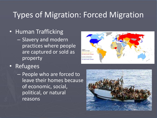#### Types of Migration: Forced Migration

- Human Trafficking
	- Slavery and modern practices where people are captured or sold as property



- Refugees
	- People who are forced to leave their homes because of economic, social, political, or natural reasons

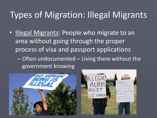# Types of Migration: Illegal Migrants

- Illegal Migrants: People who migrate to an area without going through the proper process of visa and passport applications
	- Often undocumented Living there without the government knowing



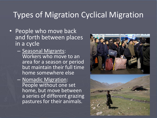#### Types of Migration Cyclical Migration

- People who move back and forth between places in a cycle
	- Seasonal Migrants: Workers who move to an area for a season or period but maintain their full time home somewhere else
	- Nomadic Migration: People without one set home, but move between a series of different grazing pastures for their animals.